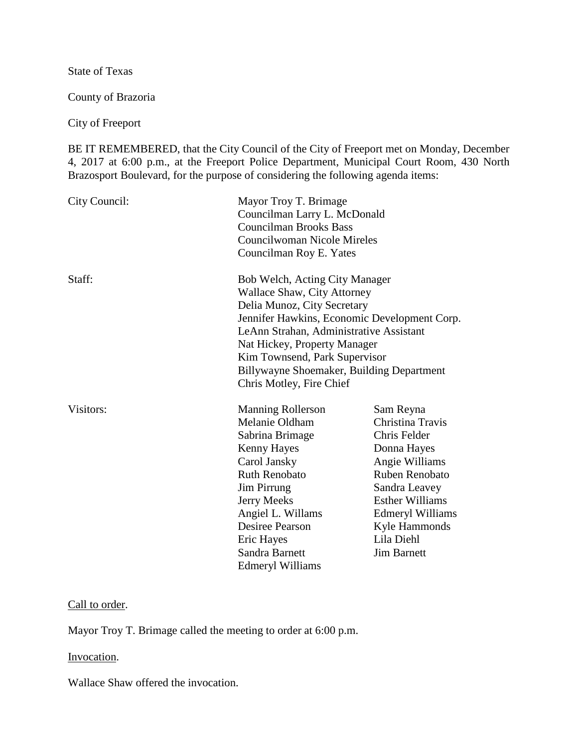State of Texas

County of Brazoria

City of Freeport

BE IT REMEMBERED, that the City Council of the City of Freeport met on Monday, December 4, 2017 at 6:00 p.m., at the Freeport Police Department, Municipal Court Room, 430 North Brazosport Boulevard, for the purpose of considering the following agenda items:

| City Council: | Mayor Troy T. Brimage<br>Councilman Larry L. McDonald<br><b>Councilman Brooks Bass</b><br>Councilwoman Nicole Mireles<br>Councilman Roy E. Yates                                                                                                                                                                                         |                                                                                                                                                                                                                             |
|---------------|------------------------------------------------------------------------------------------------------------------------------------------------------------------------------------------------------------------------------------------------------------------------------------------------------------------------------------------|-----------------------------------------------------------------------------------------------------------------------------------------------------------------------------------------------------------------------------|
| Staff:        | Bob Welch, Acting City Manager<br><b>Wallace Shaw, City Attorney</b><br>Delia Munoz, City Secretary<br>Jennifer Hawkins, Economic Development Corp.<br>LeAnn Strahan, Administrative Assistant<br>Nat Hickey, Property Manager<br>Kim Townsend, Park Supervisor<br>Billywayne Shoemaker, Building Department<br>Chris Motley, Fire Chief |                                                                                                                                                                                                                             |
| Visitors:     | <b>Manning Rollerson</b><br>Melanie Oldham<br>Sabrina Brimage<br>Kenny Hayes<br>Carol Jansky<br><b>Ruth Renobato</b><br><b>Jim Pirrung</b><br><b>Jerry Meeks</b><br>Angiel L. Willams<br><b>Desiree Pearson</b><br>Eric Hayes<br>Sandra Barnett<br><b>Edmeryl Williams</b>                                                               | Sam Reyna<br>Christina Travis<br>Chris Felder<br>Donna Hayes<br>Angie Williams<br>Ruben Renobato<br>Sandra Leavey<br><b>Esther Williams</b><br><b>Edmeryl Williams</b><br>Kyle Hammonds<br>Lila Diehl<br><b>Jim Barnett</b> |

# Call to order.

Mayor Troy T. Brimage called the meeting to order at 6:00 p.m.

### Invocation.

Wallace Shaw offered the invocation.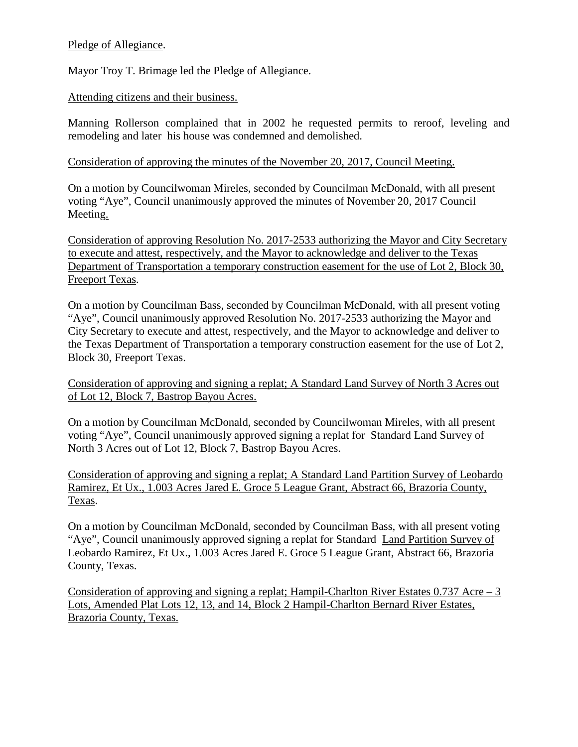# Pledge of Allegiance.

Mayor Troy T. Brimage led the Pledge of Allegiance.

## Attending citizens and their business.

Manning Rollerson complained that in 2002 he requested permits to reroof, leveling and remodeling and later his house was condemned and demolished.

### Consideration of approving the minutes of the November 20, 2017, Council Meeting.

On a motion by Councilwoman Mireles, seconded by Councilman McDonald, with all present voting "Aye", Council unanimously approved the minutes of November 20, 2017 Council Meeting.

Consideration of approving Resolution No. 2017-2533 authorizing the Mayor and City Secretary to execute and attest, respectively, and the Mayor to acknowledge and deliver to the Texas Department of Transportation a temporary construction easement for the use of Lot 2, Block 30, Freeport Texas.

On a motion by Councilman Bass, seconded by Councilman McDonald, with all present voting "Aye", Council unanimously approved Resolution No. 2017-2533 authorizing the Mayor and City Secretary to execute and attest, respectively, and the Mayor to acknowledge and deliver to the Texas Department of Transportation a temporary construction easement for the use of Lot 2, Block 30, Freeport Texas.

Consideration of approving and signing a replat; A Standard Land Survey of North 3 Acres out of Lot 12, Block 7, Bastrop Bayou Acres.

On a motion by Councilman McDonald, seconded by Councilwoman Mireles, with all present voting "Aye", Council unanimously approved signing a replat for Standard Land Survey of North 3 Acres out of Lot 12, Block 7, Bastrop Bayou Acres.

Consideration of approving and signing a replat; A Standard Land Partition Survey of Leobardo Ramirez, Et Ux., 1.003 Acres Jared E. Groce 5 League Grant, Abstract 66, Brazoria County, Texas.

On a motion by Councilman McDonald, seconded by Councilman Bass, with all present voting "Aye", Council unanimously approved signing a replat for Standard Land Partition Survey of Leobardo Ramirez, Et Ux., 1.003 Acres Jared E. Groce 5 League Grant, Abstract 66, Brazoria County, Texas.

Consideration of approving and signing a replat; Hampil-Charlton River Estates 0.737 Acre – 3 Lots, Amended Plat Lots 12, 13, and 14, Block 2 Hampil-Charlton Bernard River Estates, Brazoria County, Texas.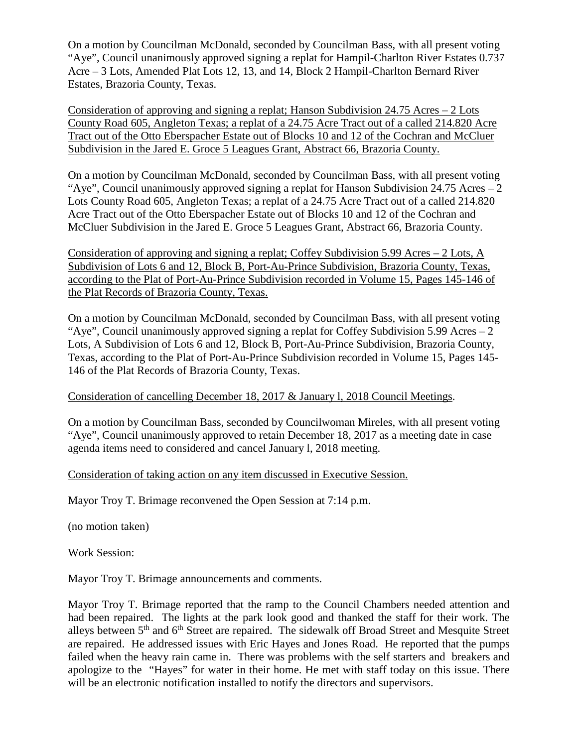On a motion by Councilman McDonald, seconded by Councilman Bass, with all present voting "Aye", Council unanimously approved signing a replat for Hampil-Charlton River Estates 0.737 Acre – 3 Lots, Amended Plat Lots 12, 13, and 14, Block 2 Hampil-Charlton Bernard River Estates, Brazoria County, Texas.

Consideration of approving and signing a replat; Hanson Subdivision 24.75 Acres – 2 Lots County Road 605, Angleton Texas; a replat of a 24.75 Acre Tract out of a called 214.820 Acre Tract out of the Otto Eberspacher Estate out of Blocks 10 and 12 of the Cochran and McCluer Subdivision in the Jared E. Groce 5 Leagues Grant, Abstract 66, Brazoria County.

On a motion by Councilman McDonald, seconded by Councilman Bass, with all present voting "Aye", Council unanimously approved signing a replat for Hanson Subdivision 24.75 Acres – 2 Lots County Road 605, Angleton Texas; a replat of a 24.75 Acre Tract out of a called 214.820 Acre Tract out of the Otto Eberspacher Estate out of Blocks 10 and 12 of the Cochran and McCluer Subdivision in the Jared E. Groce 5 Leagues Grant, Abstract 66, Brazoria County.

Consideration of approving and signing a replat; Coffey Subdivision 5.99 Acres – 2 Lots, A Subdivision of Lots 6 and 12, Block B, Port-Au-Prince Subdivision, Brazoria County, Texas, according to the Plat of Port-Au-Prince Subdivision recorded in Volume 15, Pages 145-146 of the Plat Records of Brazoria County, Texas.

On a motion by Councilman McDonald, seconded by Councilman Bass, with all present voting "Aye", Council unanimously approved signing a replat for Coffey Subdivision 5.99 Acres  $-2$ Lots, A Subdivision of Lots 6 and 12, Block B, Port-Au-Prince Subdivision, Brazoria County, Texas, according to the Plat of Port-Au-Prince Subdivision recorded in Volume 15, Pages 145- 146 of the Plat Records of Brazoria County, Texas.

# Consideration of cancelling December 18, 2017 & January l, 2018 Council Meetings.

On a motion by Councilman Bass, seconded by Councilwoman Mireles, with all present voting "Aye", Council unanimously approved to retain December 18, 2017 as a meeting date in case agenda items need to considered and cancel January l, 2018 meeting.

### Consideration of taking action on any item discussed in Executive Session.

Mayor Troy T. Brimage reconvened the Open Session at 7:14 p.m.

(no motion taken)

Work Session:

Mayor Troy T. Brimage announcements and comments.

Mayor Troy T. Brimage reported that the ramp to the Council Chambers needed attention and had been repaired. The lights at the park look good and thanked the staff for their work. The alleys between  $5<sup>th</sup>$  and  $6<sup>th</sup>$  Street are repaired. The sidewalk off Broad Street and Mesquite Street are repaired. He addressed issues with Eric Hayes and Jones Road. He reported that the pumps failed when the heavy rain came in. There was problems with the self starters and breakers and apologize to the "Hayes" for water in their home. He met with staff today on this issue. There will be an electronic notification installed to notify the directors and supervisors.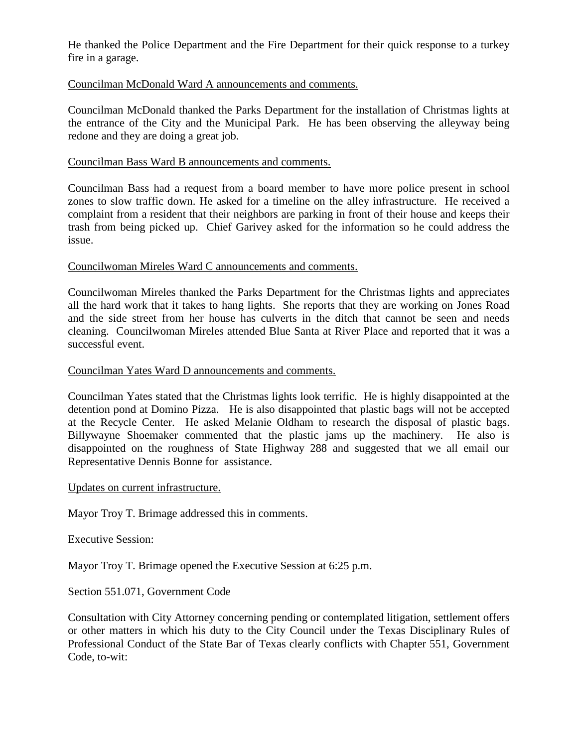He thanked the Police Department and the Fire Department for their quick response to a turkey fire in a garage.

## Councilman McDonald Ward A announcements and comments.

Councilman McDonald thanked the Parks Department for the installation of Christmas lights at the entrance of the City and the Municipal Park. He has been observing the alleyway being redone and they are doing a great job.

#### Councilman Bass Ward B announcements and comments.

Councilman Bass had a request from a board member to have more police present in school zones to slow traffic down. He asked for a timeline on the alley infrastructure. He received a complaint from a resident that their neighbors are parking in front of their house and keeps their trash from being picked up. Chief Garivey asked for the information so he could address the issue.

#### Councilwoman Mireles Ward C announcements and comments.

Councilwoman Mireles thanked the Parks Department for the Christmas lights and appreciates all the hard work that it takes to hang lights. She reports that they are working on Jones Road and the side street from her house has culverts in the ditch that cannot be seen and needs cleaning. Councilwoman Mireles attended Blue Santa at River Place and reported that it was a successful event.

#### Councilman Yates Ward D announcements and comments.

Councilman Yates stated that the Christmas lights look terrific. He is highly disappointed at the detention pond at Domino Pizza. He is also disappointed that plastic bags will not be accepted at the Recycle Center. He asked Melanie Oldham to research the disposal of plastic bags. Billywayne Shoemaker commented that the plastic jams up the machinery. He also is disappointed on the roughness of State Highway 288 and suggested that we all email our Representative Dennis Bonne for assistance.

#### Updates on current infrastructure.

Mayor Troy T. Brimage addressed this in comments.

Executive Session:

Mayor Troy T. Brimage opened the Executive Session at 6:25 p.m.

Section 551.071, Government Code

Consultation with City Attorney concerning pending or contemplated litigation, settlement offers or other matters in which his duty to the City Council under the Texas Disciplinary Rules of Professional Conduct of the State Bar of Texas clearly conflicts with Chapter 551, Government Code, to-wit: